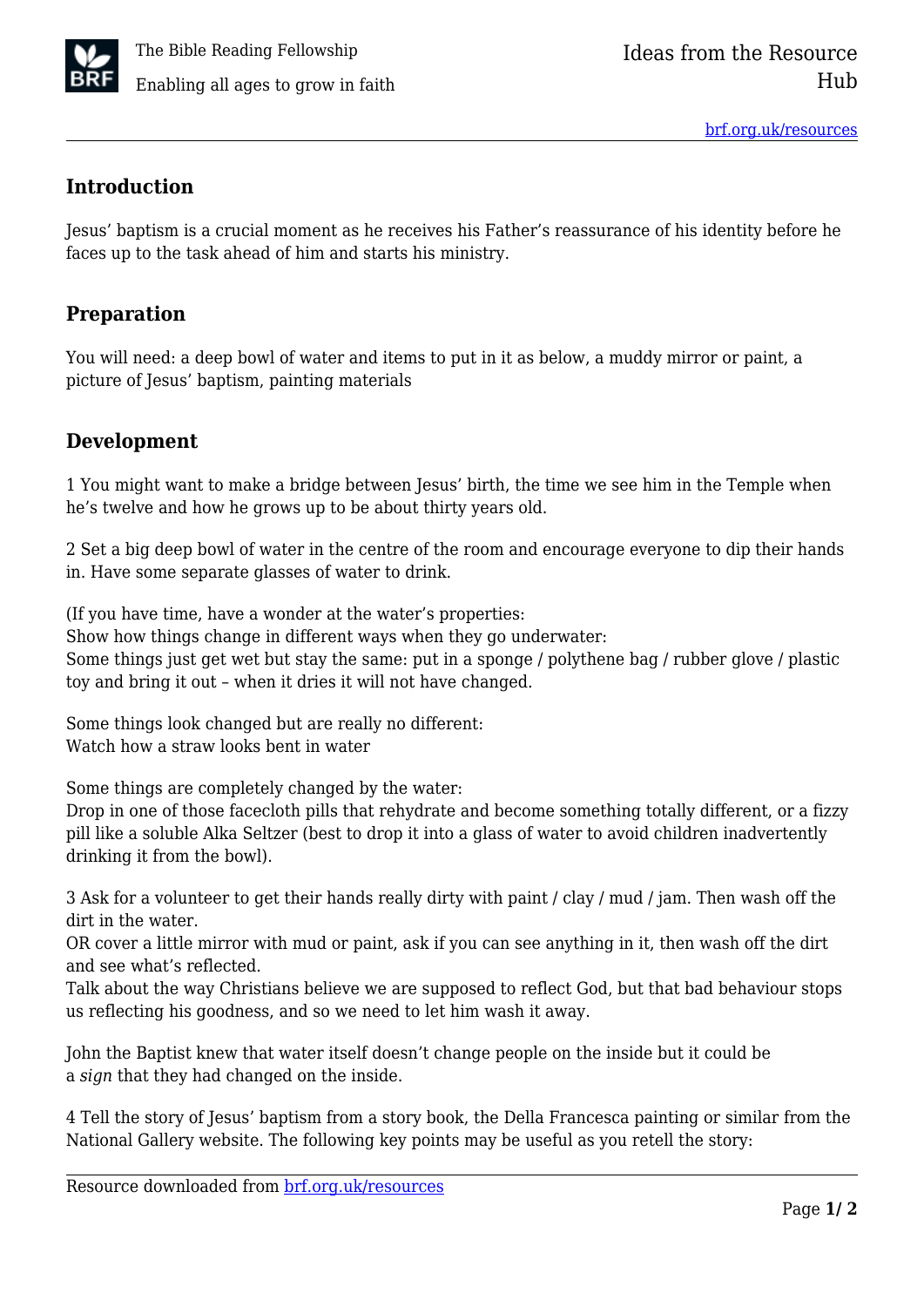

## **Introduction**

Jesus' baptism is a crucial moment as he receives his Father's reassurance of his identity before he faces up to the task ahead of him and starts his ministry.

## **Preparation**

You will need: a deep bowl of water and items to put in it as below, a muddy mirror or paint, a picture of Jesus' baptism, painting materials

## **Development**

1 You might want to make a bridge between Jesus' birth, the time we see him in the Temple when he's twelve and how he grows up to be about thirty years old.

2 Set a big deep bowl of water in the centre of the room and encourage everyone to dip their hands in. Have some separate glasses of water to drink.

(If you have time, have a wonder at the water's properties:

Show how things change in different ways when they go underwater: Some things just get wet but stay the same: put in a sponge / polythene bag / rubber glove / plastic toy and bring it out – when it dries it will not have changed.

Some things look changed but are really no different: Watch how a straw looks bent in water

Some things are completely changed by the water:

Drop in one of those facecloth pills that rehydrate and become something totally different, or a fizzy pill like a soluble Alka Seltzer (best to drop it into a glass of water to avoid children inadvertently drinking it from the bowl).

3 Ask for a volunteer to get their hands really dirty with paint / clay / mud / jam. Then wash off the dirt in the water.

OR cover a little mirror with mud or paint, ask if you can see anything in it, then wash off the dirt and see what's reflected.

Talk about the way Christians believe we are supposed to reflect God, but that bad behaviour stops us reflecting his goodness, and so we need to let him wash it away.

John the Baptist knew that water itself doesn't change people on the inside but it could be a *sign* that they had changed on the inside.

4 Tell the story of Jesus' baptism from a story book, the Della Francesca painting or similar from the National Gallery website. The following key points may be useful as you retell the story: